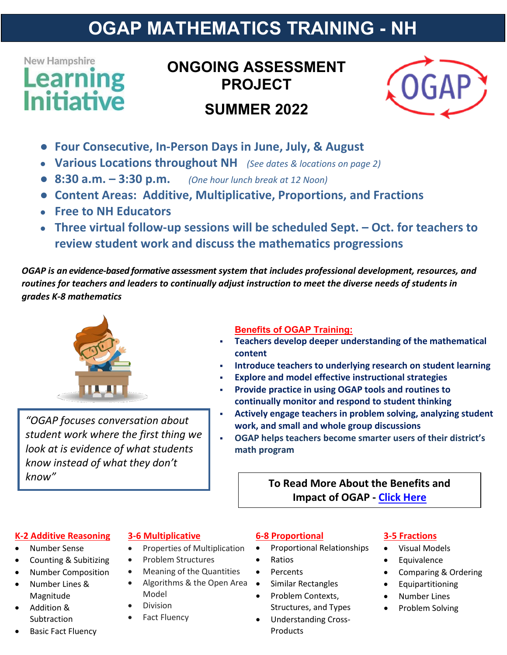## **OGAP MATHEMATICS TRAINING - NH**

## New Hampshire **earning Initiative**

## **ONGOING ASSESSMENT PROJECT SUMMER 2022**



- **Four Consecutive, In-Person Days in June, July, & August**
- **Various Locations throughout NH** *(See dates & locations on page 2)*
- **8:30 a.m. – 3:30 p.m.** *(One hour lunch break at 12 Noon)*
- **Content Areas: Additive, Multiplicative, Proportions, and Fractions**
- **Free to NH Educators**
- **Three virtual follow-up sessions will be scheduled Sept. – Oct. for teachers to review student work and discuss the mathematics progressions**

*OGAP is an evidence-based formative assessment system that includes professional development, resources, and routines for teachers and leaders to continually adjust instruction to meet the diverse needs of students in grades K-8 mathematics*



*"OGAP focuses conversation about student work where the first thing we look at is evidence of what students know instead of what they don't know"* **To Read More About the Benefits and** 

#### **Benefits of OGAP Training:**

- **Teachers develop deeper understanding of the mathematical content**
- **Introduce teachers to underlying research on student learning**
- **Explore and model effective instructional strategies**
- **Provide practice in using OGAP tools and routines to continually monitor and respond to student thinking**
- **Actively engage teachers in problem solving, analyzing student work, and small and whole group discussions**
- **OGAP helps teachers become smarter users of their district's math program**

# **Impact of OGAP - [Click Here](https://repository.upenn.edu/cpre_researchreports/107/)**

#### **K-2 Additive Reasoning**

- Number Sense
- Counting & Subitizing
- Number Composition
- Number Lines & Magnitude
- Addition & Subtraction
- **Basic Fact Fluency**

#### **3-6 Multiplicative**

- Properties of Multiplication
- Problem Structures
- Meaning of the Quantities
- Algorithms & the Open Area Model
- Division
- Fact Fluency

#### **6-8 Proportional**

- Proportional Relationships
- Ratios
- Percents
- Similar Rectangles
- Problem Contexts, Structures, and Types • Understanding Cross-
- Products

#### **3-5 Fractions**

- Visual Models
- Equivalence
- Comparing & Ordering
- **Equipartitioning**
- Number Lines
- Problem Solving